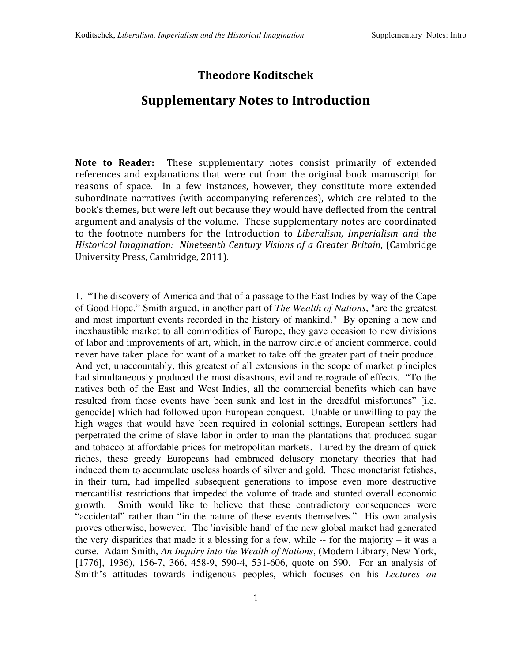## **Theodore Koditschek**

## **Supplementary Notes to Introduction**

Note to Reader: These supplementary notes consist primarily of extended references and explanations that were cut from the original book manuscript for reasons of space. In a few instances, however, they constitute more extended subordinate narratives (with accompanying references), which are related to the book's
themes,
but
were
left
out
because
they
would
have
deflected
from
the
central argument
and
analysis
of
the
volume. These
supplementary
notes
are
coordinated to the footnote numbers for the Introduction to *Liberalism, Imperialism and the Historical
Imagination: Nineteenth
Century
Visions
of
a
Greater
Britain*,
(Cambridge University
Press,
Cambridge,
2011).

1. "The discovery of America and that of a passage to the East Indies by way of the Cape of Good Hope," Smith argued, in another part of *The Wealth of Nations*, "are the greatest and most important events recorded in the history of mankind." By opening a new and inexhaustible market to all commodities of Europe, they gave occasion to new divisions of labor and improvements of art, which, in the narrow circle of ancient commerce, could never have taken place for want of a market to take off the greater part of their produce. And yet, unaccountably, this greatest of all extensions in the scope of market principles had simultaneously produced the most disastrous, evil and retrograde of effects. "To the natives both of the East and West Indies, all the commercial benefits which can have resulted from those events have been sunk and lost in the dreadful misfortunes" [i.e. genocide] which had followed upon European conquest. Unable or unwilling to pay the high wages that would have been required in colonial settings, European settlers had perpetrated the crime of slave labor in order to man the plantations that produced sugar and tobacco at affordable prices for metropolitan markets. Lured by the dream of quick riches, these greedy Europeans had embraced delusory monetary theories that had induced them to accumulate useless hoards of silver and gold. These monetarist fetishes, in their turn, had impelled subsequent generations to impose even more destructive mercantilist restrictions that impeded the volume of trade and stunted overall economic growth. Smith would like to believe that these contradictory consequences were "accidental" rather than "in the nature of these events themselves." His own analysis proves otherwise, however. The 'invisible hand' of the new global market had generated the very disparities that made it a blessing for a few, while  $-$  for the majority  $-$  it was a curse. Adam Smith, *An Inquiry into the Wealth of Nations*, (Modern Library, New York, [1776], 1936), 156-7, 366, 458-9, 590-4, 531-606, quote on 590. For an analysis of Smith's attitudes towards indigenous peoples, which focuses on his *Lectures on*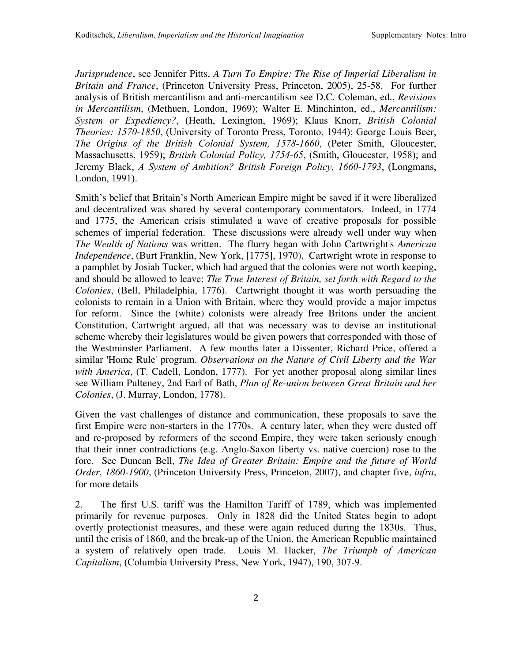*Jurisprudence*, see Jennifer Pitts, *A Turn To Empire: The Rise of Imperial Liberalism in Britain and France*, (Princeton University Press, Princeton, 2005), 25-58. For further analysis of British mercantilism and anti-mercantilism see D.C. Coleman, ed., *Revisions in Mercantilism*, (Methuen, London, 1969); Walter E. Minchinton, ed., *Mercantilism: System or Expediency?*, (Heath, Lexington, 1969); Klaus Knorr, *British Colonial Theories: 1570-1850*, (University of Toronto Press, Toronto, 1944); George Louis Beer, *The Origins of the British Colonial System, 1578-1660*, (Peter Smith, Gloucester, Massachusetts, 1959); *British Colonial Policy, 1754-65*, (Smith, Gloucester, 1958); and Jeremy Black, *A System of Ambition? British Foreign Policy, 1660-1793*, (Longmans, London, 1991).

Smith's belief that Britain's North American Empire might be saved if it were liberalized and decentralized was shared by several contemporary commentators. Indeed, in 1774 and 1775, the American crisis stimulated a wave of creative proposals for possible schemes of imperial federation. These discussions were already well under way when *The Wealth of Nations* was written. The flurry began with John Cartwright's *American Independence*, (Burt Franklin, New York, [1775], 1970), Cartwright wrote in response to a pamphlet by Josiah Tucker, which had argued that the colonies were not worth keeping, and should be allowed to leave; *The True Interest of Britain, set forth with Regard to the Colonies*, (Bell, Philadelphia, 1776). Cartwright thought it was worth persuading the colonists to remain in a Union with Britain, where they would provide a major impetus for reform. Since the (white) colonists were already free Britons under the ancient Constitution, Cartwright argued, all that was necessary was to devise an institutional scheme whereby their legislatures would be given powers that corresponded with those of the Westminster Parliament. A few months later a Dissenter, Richard Price, offered a similar 'Home Rule' program. *Observations on the Nature of Civil Liberty and the War with America*, (T. Cadell, London, 1777). For yet another proposal along similar lines see William Pulteney, 2nd Earl of Bath, *Plan of Re-union between Great Britain and her Colonies*, (J. Murray, London, 1778).

Given the vast challenges of distance and communication, these proposals to save the first Empire were non-starters in the 1770s. A century later, when they were dusted off and re-proposed by reformers of the second Empire, they were taken seriously enough that their inner contradictions (e.g. Anglo-Saxon liberty vs. native coercion) rose to the fore. See Duncan Bell, *The Idea of Greater Britain: Empire and the future of World Order, 1860-1900*, (Princeton University Press, Princeton, 2007), and chapter five, *infra*, for more details

2. The first U.S. tariff was the Hamilton Tariff of 1789, which was implemented primarily for revenue purposes. Only in 1828 did the United States begin to adopt overtly protectionist measures, and these were again reduced during the 1830s. Thus, until the crisis of 1860, and the break-up of the Union, the American Republic maintained a system of relatively open trade. Louis M. Hacker, *The Triumph of American Capitalism*, (Columbia University Press, New York, 1947), 190, 307-9.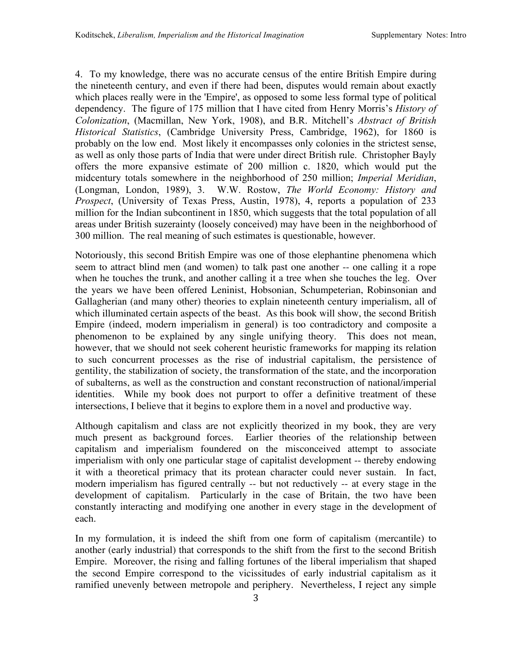4. To my knowledge, there was no accurate census of the entire British Empire during the nineteenth century, and even if there had been, disputes would remain about exactly which places really were in the 'Empire', as opposed to some less formal type of political dependency. The figure of 175 million that I have cited from Henry Morris's *History of Colonization*, (Macmillan, New York, 1908), and B.R. Mitchell's *Abstract of British Historical Statistics*, (Cambridge University Press, Cambridge, 1962), for 1860 is probably on the low end. Most likely it encompasses only colonies in the strictest sense, as well as only those parts of India that were under direct British rule. Christopher Bayly offers the more expansive estimate of 200 million c. 1820, which would put the midcentury totals somewhere in the neighborhood of 250 million; *Imperial Meridian*, (Longman, London, 1989), 3. W.W. Rostow, *The World Economy: History and Prospect*, (University of Texas Press, Austin, 1978), 4, reports a population of 233 million for the Indian subcontinent in 1850, which suggests that the total population of all areas under British suzerainty (loosely conceived) may have been in the neighborhood of 300 million. The real meaning of such estimates is questionable, however.

Notoriously, this second British Empire was one of those elephantine phenomena which seem to attract blind men (and women) to talk past one another -- one calling it a rope when he touches the trunk, and another calling it a tree when she touches the leg. Over the years we have been offered Leninist, Hobsonian, Schumpeterian, Robinsonian and Gallagherian (and many other) theories to explain nineteenth century imperialism, all of which illuminated certain aspects of the beast. As this book will show, the second British Empire (indeed, modern imperialism in general) is too contradictory and composite a phenomenon to be explained by any single unifying theory. This does not mean, however, that we should not seek coherent heuristic frameworks for mapping its relation to such concurrent processes as the rise of industrial capitalism, the persistence of gentility, the stabilization of society, the transformation of the state, and the incorporation of subalterns, as well as the construction and constant reconstruction of national/imperial identities. While my book does not purport to offer a definitive treatment of these intersections, I believe that it begins to explore them in a novel and productive way.

Although capitalism and class are not explicitly theorized in my book, they are very much present as background forces. Earlier theories of the relationship between capitalism and imperialism foundered on the misconceived attempt to associate imperialism with only one particular stage of capitalist development -- thereby endowing it with a theoretical primacy that its protean character could never sustain. In fact, modern imperialism has figured centrally -- but not reductively -- at every stage in the development of capitalism. Particularly in the case of Britain, the two have been constantly interacting and modifying one another in every stage in the development of each.

In my formulation, it is indeed the shift from one form of capitalism (mercantile) to another (early industrial) that corresponds to the shift from the first to the second British Empire. Moreover, the rising and falling fortunes of the liberal imperialism that shaped the second Empire correspond to the vicissitudes of early industrial capitalism as it ramified unevenly between metropole and periphery. Nevertheless, I reject any simple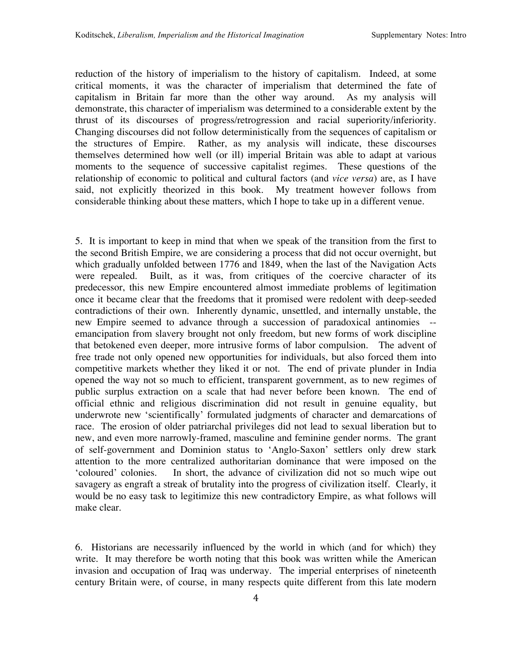reduction of the history of imperialism to the history of capitalism. Indeed, at some critical moments, it was the character of imperialism that determined the fate of capitalism in Britain far more than the other way around. As my analysis will demonstrate, this character of imperialism was determined to a considerable extent by the thrust of its discourses of progress/retrogression and racial superiority/inferiority. Changing discourses did not follow deterministically from the sequences of capitalism or the structures of Empire. Rather, as my analysis will indicate, these discourses themselves determined how well (or ill) imperial Britain was able to adapt at various moments to the sequence of successive capitalist regimes. These questions of the relationship of economic to political and cultural factors (and *vice versa*) are, as I have said, not explicitly theorized in this book. My treatment however follows from considerable thinking about these matters, which I hope to take up in a different venue.

5. It is important to keep in mind that when we speak of the transition from the first to the second British Empire, we are considering a process that did not occur overnight, but which gradually unfolded between 1776 and 1849, when the last of the Navigation Acts were repealed. Built, as it was, from critiques of the coercive character of its predecessor, this new Empire encountered almost immediate problems of legitimation once it became clear that the freedoms that it promised were redolent with deep-seeded contradictions of their own. Inherently dynamic, unsettled, and internally unstable, the new Empire seemed to advance through a succession of paradoxical antinomies - emancipation from slavery brought not only freedom, but new forms of work discipline that betokened even deeper, more intrusive forms of labor compulsion. The advent of free trade not only opened new opportunities for individuals, but also forced them into competitive markets whether they liked it or not. The end of private plunder in India opened the way not so much to efficient, transparent government, as to new regimes of public surplus extraction on a scale that had never before been known. The end of official ethnic and religious discrimination did not result in genuine equality, but underwrote new 'scientifically' formulated judgments of character and demarcations of race. The erosion of older patriarchal privileges did not lead to sexual liberation but to new, and even more narrowly-framed, masculine and feminine gender norms. The grant of self-government and Dominion status to 'Anglo-Saxon' settlers only drew stark attention to the more centralized authoritarian dominance that were imposed on the 'coloured' colonies. In short, the advance of civilization did not so much wipe out savagery as engraft a streak of brutality into the progress of civilization itself. Clearly, it would be no easy task to legitimize this new contradictory Empire, as what follows will make clear.

6. Historians are necessarily influenced by the world in which (and for which) they write. It may therefore be worth noting that this book was written while the American invasion and occupation of Iraq was underway. The imperial enterprises of nineteenth century Britain were, of course, in many respects quite different from this late modern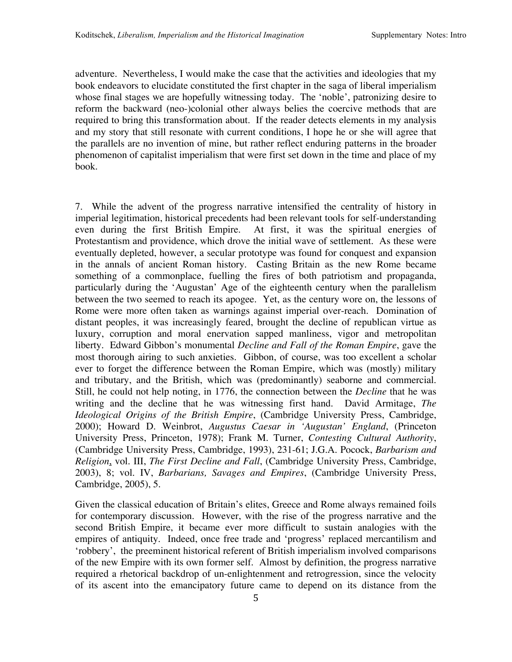adventure. Nevertheless, I would make the case that the activities and ideologies that my book endeavors to elucidate constituted the first chapter in the saga of liberal imperialism whose final stages we are hopefully witnessing today. The 'noble', patronizing desire to reform the backward (neo-)colonial other always belies the coercive methods that are required to bring this transformation about. If the reader detects elements in my analysis and my story that still resonate with current conditions, I hope he or she will agree that the parallels are no invention of mine, but rather reflect enduring patterns in the broader phenomenon of capitalist imperialism that were first set down in the time and place of my book.

7. While the advent of the progress narrative intensified the centrality of history in imperial legitimation, historical precedents had been relevant tools for self-understanding even during the first British Empire. At first, it was the spiritual energies of Protestantism and providence, which drove the initial wave of settlement. As these were eventually depleted, however, a secular prototype was found for conquest and expansion in the annals of ancient Roman history. Casting Britain as the new Rome became something of a commonplace, fuelling the fires of both patriotism and propaganda, particularly during the 'Augustan' Age of the eighteenth century when the parallelism between the two seemed to reach its apogee. Yet, as the century wore on, the lessons of Rome were more often taken as warnings against imperial over-reach. Domination of distant peoples, it was increasingly feared, brought the decline of republican virtue as luxury, corruption and moral enervation sapped manliness, vigor and metropolitan liberty. Edward Gibbon's monumental *Decline and Fall of the Roman Empire*, gave the most thorough airing to such anxieties. Gibbon, of course, was too excellent a scholar ever to forget the difference between the Roman Empire, which was (mostly) military and tributary, and the British, which was (predominantly) seaborne and commercial. Still, he could not help noting, in 1776, the connection between the *Decline* that he was writing and the decline that he was witnessing first hand. David Armitage, *The Ideological Origins of the British Empire*, (Cambridge University Press, Cambridge, 2000); Howard D. Weinbrot, *Augustus Caesar in 'Augustan' England*, (Princeton University Press, Princeton, 1978); Frank M. Turner, *Contesting Cultural Authority*, (Cambridge University Press, Cambridge, 1993), 231-61; J.G.A. Pocock, *Barbarism and Religion*, vol. III, *The First Decline and Fall*, (Cambridge University Press, Cambridge, 2003), 8; vol. IV, *Barbarians, Savages and Empires*, (Cambridge University Press, Cambridge, 2005), 5.

Given the classical education of Britain's elites, Greece and Rome always remained foils for contemporary discussion. However, with the rise of the progress narrative and the second British Empire, it became ever more difficult to sustain analogies with the empires of antiquity. Indeed, once free trade and 'progress' replaced mercantilism and 'robbery', the preeminent historical referent of British imperialism involved comparisons of the new Empire with its own former self. Almost by definition, the progress narrative required a rhetorical backdrop of un-enlightenment and retrogression, since the velocity of its ascent into the emancipatory future came to depend on its distance from the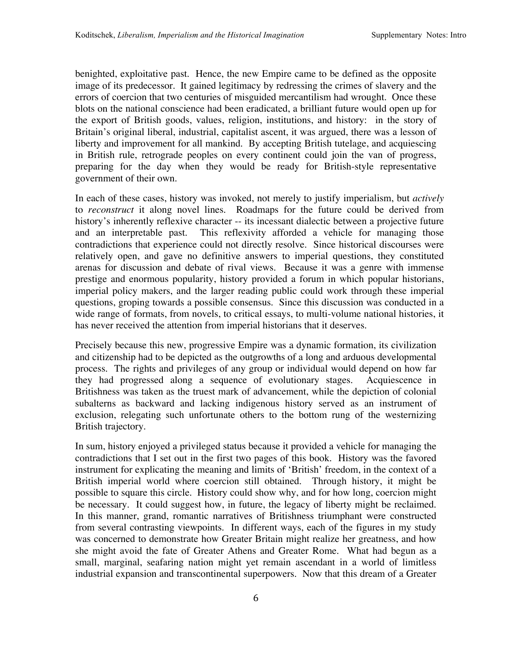benighted, exploitative past. Hence, the new Empire came to be defined as the opposite image of its predecessor. It gained legitimacy by redressing the crimes of slavery and the errors of coercion that two centuries of misguided mercantilism had wrought. Once these blots on the national conscience had been eradicated, a brilliant future would open up for the export of British goods, values, religion, institutions, and history: in the story of Britain's original liberal, industrial, capitalist ascent, it was argued, there was a lesson of liberty and improvement for all mankind. By accepting British tutelage, and acquiescing in British rule, retrograde peoples on every continent could join the van of progress, preparing for the day when they would be ready for British-style representative government of their own.

In each of these cases, history was invoked, not merely to justify imperialism, but *actively* to *reconstruct* it along novel lines. Roadmaps for the future could be derived from history's inherently reflexive character -- its incessant dialectic between a projective future and an interpretable past. This reflexivity afforded a vehicle for managing those contradictions that experience could not directly resolve. Since historical discourses were relatively open, and gave no definitive answers to imperial questions, they constituted arenas for discussion and debate of rival views. Because it was a genre with immense prestige and enormous popularity, history provided a forum in which popular historians, imperial policy makers, and the larger reading public could work through these imperial questions, groping towards a possible consensus. Since this discussion was conducted in a wide range of formats, from novels, to critical essays, to multi-volume national histories, it has never received the attention from imperial historians that it deserves.

Precisely because this new, progressive Empire was a dynamic formation, its civilization and citizenship had to be depicted as the outgrowths of a long and arduous developmental process. The rights and privileges of any group or individual would depend on how far they had progressed along a sequence of evolutionary stages. Acquiescence in Britishness was taken as the truest mark of advancement, while the depiction of colonial subalterns as backward and lacking indigenous history served as an instrument of exclusion, relegating such unfortunate others to the bottom rung of the westernizing British trajectory.

In sum, history enjoyed a privileged status because it provided a vehicle for managing the contradictions that I set out in the first two pages of this book. History was the favored instrument for explicating the meaning and limits of 'British' freedom, in the context of a British imperial world where coercion still obtained. Through history, it might be possible to square this circle. History could show why, and for how long, coercion might be necessary. It could suggest how, in future, the legacy of liberty might be reclaimed. In this manner, grand, romantic narratives of Britishness triumphant were constructed from several contrasting viewpoints. In different ways, each of the figures in my study was concerned to demonstrate how Greater Britain might realize her greatness, and how she might avoid the fate of Greater Athens and Greater Rome. What had begun as a small, marginal, seafaring nation might yet remain ascendant in a world of limitless industrial expansion and transcontinental superpowers. Now that this dream of a Greater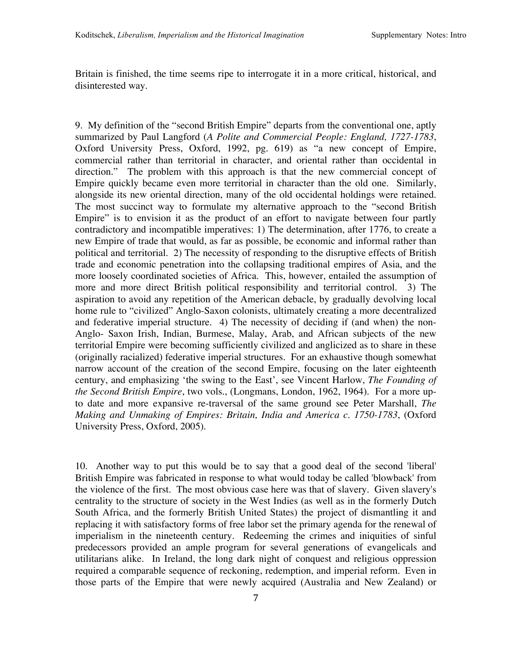Britain is finished, the time seems ripe to interrogate it in a more critical, historical, and disinterested way.

9. My definition of the "second British Empire" departs from the conventional one, aptly summarized by Paul Langford (*A Polite and Commercial People: England, 1727-1783*, Oxford University Press, Oxford, 1992, pg. 619) as "a new concept of Empire, commercial rather than territorial in character, and oriental rather than occidental in direction." The problem with this approach is that the new commercial concept of Empire quickly became even more territorial in character than the old one. Similarly, alongside its new oriental direction, many of the old occidental holdings were retained. The most succinct way to formulate my alternative approach to the "second British Empire" is to envision it as the product of an effort to navigate between four partly contradictory and incompatible imperatives: 1) The determination, after 1776, to create a new Empire of trade that would, as far as possible, be economic and informal rather than political and territorial. 2) The necessity of responding to the disruptive effects of British trade and economic penetration into the collapsing traditional empires of Asia, and the more loosely coordinated societies of Africa. This, however, entailed the assumption of more and more direct British political responsibility and territorial control. 3) The aspiration to avoid any repetition of the American debacle, by gradually devolving local home rule to "civilized" Anglo-Saxon colonists, ultimately creating a more decentralized and federative imperial structure. 4) The necessity of deciding if (and when) the non-Anglo- Saxon Irish, Indian, Burmese, Malay, Arab, and African subjects of the new territorial Empire were becoming sufficiently civilized and anglicized as to share in these (originally racialized) federative imperial structures. For an exhaustive though somewhat narrow account of the creation of the second Empire, focusing on the later eighteenth century, and emphasizing 'the swing to the East', see Vincent Harlow, *The Founding of the Second British Empire*, two vols., (Longmans, London, 1962, 1964). For a more upto date and more expansive re-traversal of the same ground see Peter Marshall, *The Making and Unmaking of Empires: Britain, India and America c. 1750-1783*, (Oxford University Press, Oxford, 2005).

10. Another way to put this would be to say that a good deal of the second 'liberal' British Empire was fabricated in response to what would today be called 'blowback' from the violence of the first. The most obvious case here was that of slavery. Given slavery's centrality to the structure of society in the West Indies (as well as in the formerly Dutch South Africa, and the formerly British United States) the project of dismantling it and replacing it with satisfactory forms of free labor set the primary agenda for the renewal of imperialism in the nineteenth century. Redeeming the crimes and iniquities of sinful predecessors provided an ample program for several generations of evangelicals and utilitarians alike. In Ireland, the long dark night of conquest and religious oppression required a comparable sequence of reckoning, redemption, and imperial reform. Even in those parts of the Empire that were newly acquired (Australia and New Zealand) or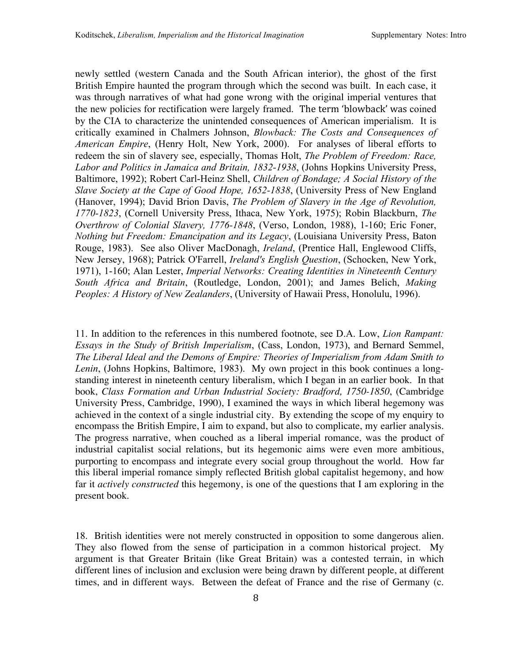newly settled (western Canada and the South African interior), the ghost of the first British Empire haunted the program through which the second was built. In each case, it was through narratives of what had gone wrong with the original imperial ventures that the new policies for rectification were largely framed. The
term
'blowback' was coined by the CIA to characterize the unintended consequences of American imperialism. It is critically examined in Chalmers Johnson, *Blowback: The Costs and Consequences of American Empire*, (Henry Holt, New York, 2000). For analyses of liberal efforts to redeem the sin of slavery see, especially, Thomas Holt, *The Problem of Freedom: Race, Labor and Politics in Jamaica and Britain, 1832-1938*, (Johns Hopkins University Press, Baltimore, 1992); Robert Carl-Heinz Shell, *Children of Bondage; A Social History of the Slave Society at the Cape of Good Hope, 1652-1838*, (University Press of New England (Hanover, 1994); David Brion Davis, *The Problem of Slavery in the Age of Revolution, 1770-1823*, (Cornell University Press, Ithaca, New York, 1975); Robin Blackburn, *The Overthrow of Colonial Slavery, 1776-1848*, (Verso, London, 1988), 1-160; Eric Foner, *Nothing but Freedom: Emancipation and its Legacy*, (Louisiana University Press, Baton Rouge, 1983). See also Oliver MacDonagh, *Ireland*, (Prentice Hall, Englewood Cliffs, New Jersey, 1968); Patrick O'Farrell, *Ireland's English Question*, (Schocken, New York, 1971), 1-160; Alan Lester, *Imperial Networks: Creating Identities in Nineteenth Century South Africa and Britain*, (Routledge, London, 2001); and James Belich, *Making Peoples: A History of New Zealanders*, (University of Hawaii Press, Honolulu, 1996).

11. In addition to the references in this numbered footnote, see D.A. Low, *Lion Rampant: Essays in the Study of British Imperialism*, (Cass, London, 1973), and Bernard Semmel, *The Liberal Ideal and the Demons of Empire: Theories of Imperialism from Adam Smith to Lenin*, (Johns Hopkins, Baltimore, 1983). My own project in this book continues a longstanding interest in nineteenth century liberalism, which I began in an earlier book. In that book, *Class Formation and Urban Industrial Society: Bradford, 1750-1850*, (Cambridge University Press, Cambridge, 1990), I examined the ways in which liberal hegemony was achieved in the context of a single industrial city. By extending the scope of my enquiry to encompass the British Empire, I aim to expand, but also to complicate, my earlier analysis. The progress narrative, when couched as a liberal imperial romance, was the product of industrial capitalist social relations, but its hegemonic aims were even more ambitious, purporting to encompass and integrate every social group throughout the world. How far this liberal imperial romance simply reflected British global capitalist hegemony, and how far it *actively constructed* this hegemony, is one of the questions that I am exploring in the present book.

18. British identities were not merely constructed in opposition to some dangerous alien. They also flowed from the sense of participation in a common historical project. My argument is that Greater Britain (like Great Britain) was a contested terrain, in which different lines of inclusion and exclusion were being drawn by different people, at different times, and in different ways. Between the defeat of France and the rise of Germany (c.